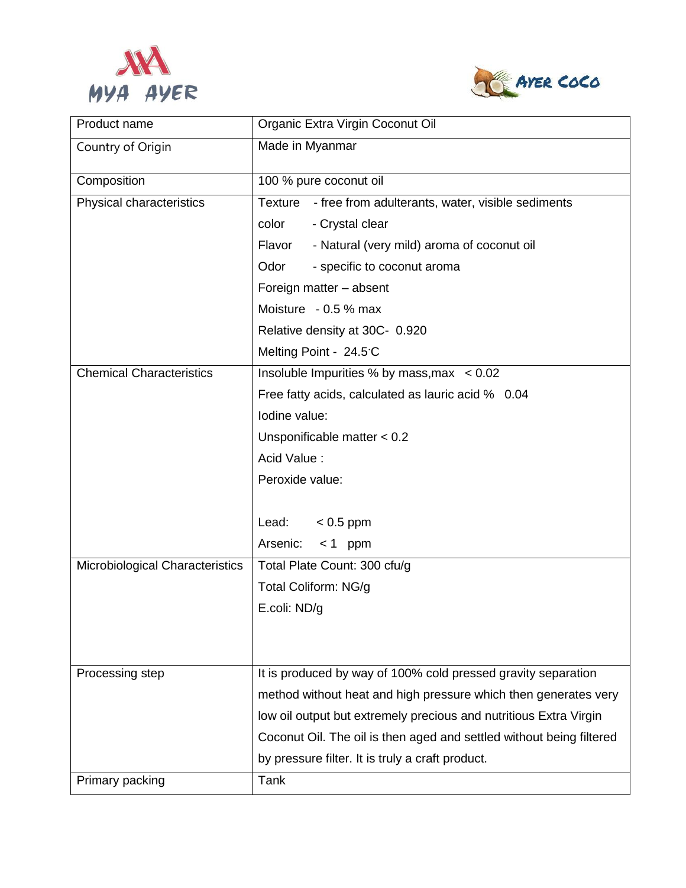



| Product name                    | Organic Extra Virgin Coconut Oil                                     |
|---------------------------------|----------------------------------------------------------------------|
| Country of Origin               | Made in Myanmar                                                      |
| Composition                     | 100 % pure coconut oil                                               |
| Physical characteristics        | Texture - free from adulterants, water, visible sediments            |
|                                 | color<br>- Crystal clear                                             |
|                                 | - Natural (very mild) aroma of coconut oil<br>Flavor                 |
|                                 | Odor<br>- specific to coconut aroma                                  |
|                                 | Foreign matter - absent                                              |
|                                 | Moisture - 0.5 % max                                                 |
|                                 | Relative density at 30C- 0.920                                       |
|                                 | Melting Point - 24.5 C                                               |
| <b>Chemical Characteristics</b> | Insoluble Impurities % by mass, max $\leq 0.02$                      |
|                                 | Free fatty acids, calculated as lauric acid % 0.04                   |
|                                 | lodine value:                                                        |
|                                 | Unsponificable matter $< 0.2$                                        |
|                                 | Acid Value:                                                          |
|                                 | Peroxide value:                                                      |
|                                 |                                                                      |
|                                 | Lead:<br>$< 0.5$ ppm                                                 |
|                                 | Arsenic:<br>$< 1$ ppm                                                |
| Microbiological Characteristics | Total Plate Count: 300 cfu/g                                         |
|                                 | Total Coliform: NG/g                                                 |
|                                 | E.coli: ND/g                                                         |
|                                 |                                                                      |
|                                 |                                                                      |
| Processing step                 | It is produced by way of 100% cold pressed gravity separation        |
|                                 | method without heat and high pressure which then generates very      |
|                                 | low oil output but extremely precious and nutritious Extra Virgin    |
|                                 | Coconut Oil. The oil is then aged and settled without being filtered |
|                                 | by pressure filter. It is truly a craft product.                     |
| Primary packing                 | Tank                                                                 |